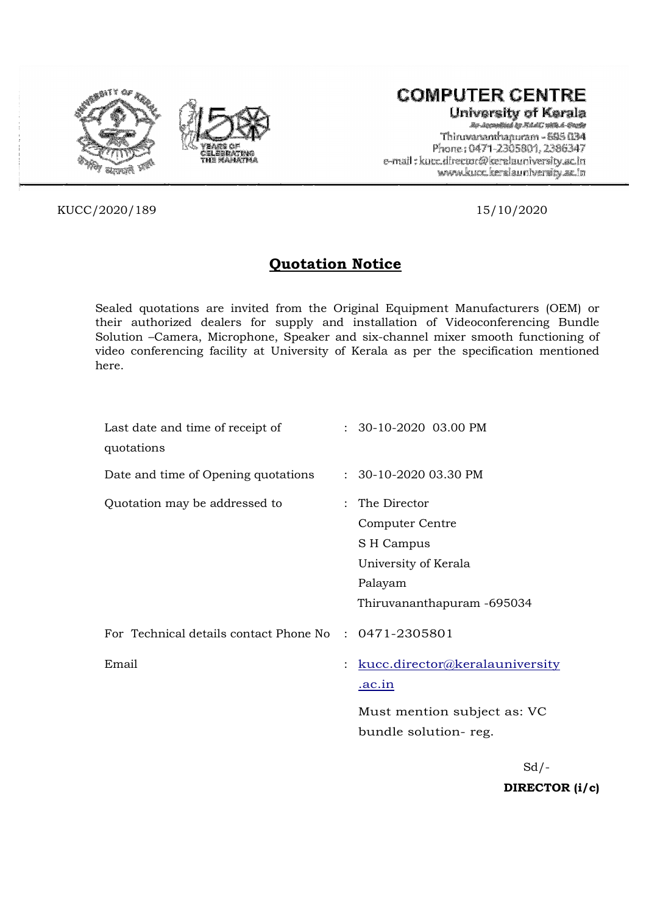



# **COMPUTER CENTRE**

University of Kerala Ry-According by Md.d.C. with 4-Engle Thiruvananthapuram - 695 034 Phone: 0471-2305801, 2386347 e-mail: kucc.director@keralauniversity.ac.in www.kucc.keralauniversity.ac.in

KUCC/2020/189 15/10/2020

## Quotation Notice

Sealed quotations are invited from the Original Equipment Manufacturers (OEM) or their authorized dealers for supply and installation of Videoconferencing Bundle Solution –Camera, Microphone, Speaker and six-channel mixer smooth functioning of video conferencing facility at University of Kerala as per the specification mentioned here.

| Last date and time of receipt of<br>quotations        | $: 30-10-2020$ 03.00 PM                                                                                          |
|-------------------------------------------------------|------------------------------------------------------------------------------------------------------------------|
| Date and time of Opening quotations                   | $: 30-10-202003.30$ PM                                                                                           |
| Quotation may be addressed to                         | : The Director<br>Computer Centre<br>S H Campus<br>University of Kerala<br>Palayam<br>Thiruvananthapuram -695034 |
| For Technical details contact Phone No : 0471-2305801 |                                                                                                                  |
| Email                                                 | : kucc.director@keralauniversity<br><u>.ac.in</u>                                                                |
|                                                       | Must mention subject as: VC<br>bundle solution-reg.                                                              |
|                                                       |                                                                                                                  |

 $Sd$  /-DIRECTOR (i/c)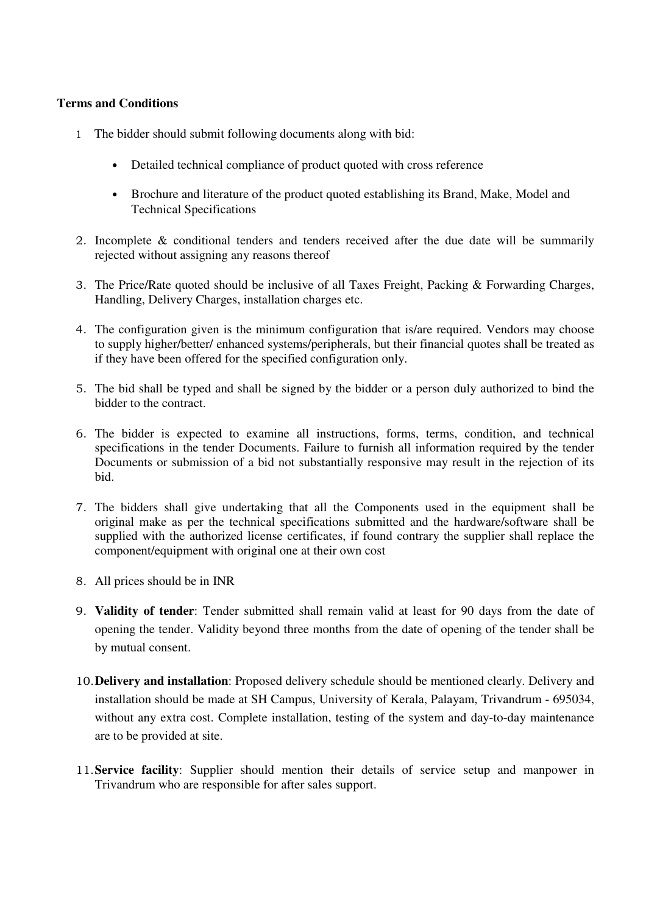### **Terms and Conditions**

- 1 The bidder should submit following documents along with bid:
	- Detailed technical compliance of product quoted with cross reference
	- Brochure and literature of the product quoted establishing its Brand, Make, Model and Technical Specifications
- 2. Incomplete & conditional tenders and tenders received after the due date will be summarily rejected without assigning any reasons thereof
- 3. The Price/Rate quoted should be inclusive of all Taxes Freight, Packing & Forwarding Charges, Handling, Delivery Charges, installation charges etc.
- 4. The configuration given is the minimum configuration that is/are required. Vendors may choose to supply higher/better/ enhanced systems/peripherals, but their financial quotes shall be treated as if they have been offered for the specified configuration only.
- 5. The bid shall be typed and shall be signed by the bidder or a person duly authorized to bind the bidder to the contract.
- 6. The bidder is expected to examine all instructions, forms, terms, condition, and technical specifications in the tender Documents. Failure to furnish all information required by the tender Documents or submission of a bid not substantially responsive may result in the rejection of its bid.
- 7. The bidders shall give undertaking that all the Components used in the equipment shall be original make as per the technical specifications submitted and the hardware/software shall be supplied with the authorized license certificates, if found contrary the supplier shall replace the component/equipment with original one at their own cost
- 8. All prices should be in INR
- 9. **Validity of tender**: Tender submitted shall remain valid at least for 90 days from the date of opening the tender. Validity beyond three months from the date of opening of the tender shall be by mutual consent.
- 10.**Delivery and installation**: Proposed delivery schedule should be mentioned clearly. Delivery and installation should be made at SH Campus, University of Kerala, Palayam, Trivandrum - 695034, without any extra cost. Complete installation, testing of the system and day-to-day maintenance are to be provided at site.
- 11.**Service facility**: Supplier should mention their details of service setup and manpower in Trivandrum who are responsible for after sales support.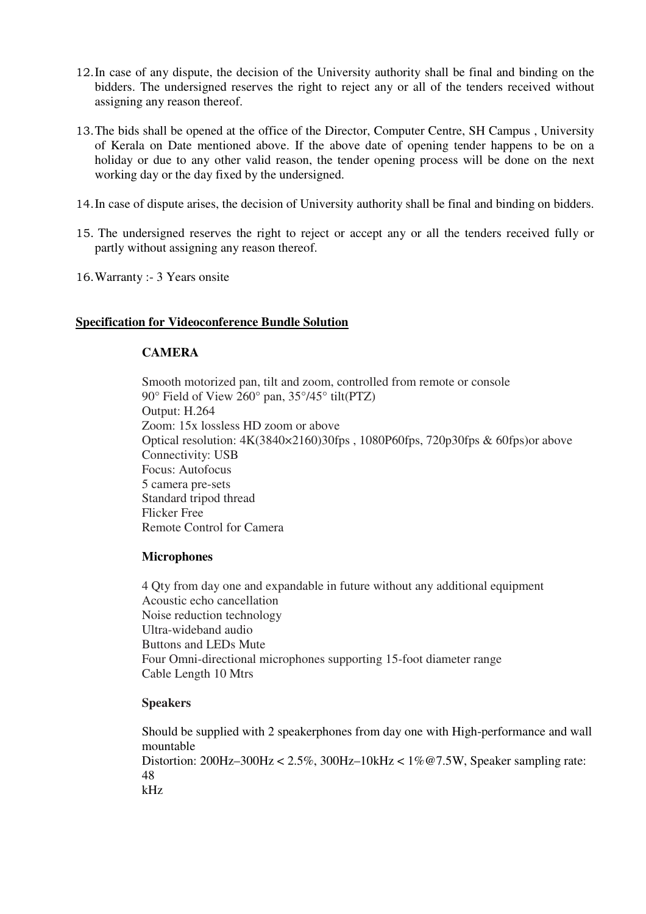- 12.In case of any dispute, the decision of the University authority shall be final and binding on the bidders. The undersigned reserves the right to reject any or all of the tenders received without assigning any reason thereof.
- 13.The bids shall be opened at the office of the Director, Computer Centre, SH Campus , University of Kerala on Date mentioned above. If the above date of opening tender happens to be on a holiday or due to any other valid reason, the tender opening process will be done on the next working day or the day fixed by the undersigned.
- 14.In case of dispute arises, the decision of University authority shall be final and binding on bidders.
- 15. The undersigned reserves the right to reject or accept any or all the tenders received fully or partly without assigning any reason thereof.
- 16.Warranty :- 3 Years onsite

#### **Specification for Videoconference Bundle Solution**

#### **CAMERA**

Smooth motorized pan, tilt and zoom, controlled from remote or console 90° Field of View 260° pan, 35°/45° tilt(PTZ) Output: H.264 Zoom: 15x lossless HD zoom or above Optical resolution: 4K(3840×2160)30fps , 1080P60fps, 720p30fps & 60fps)or above Connectivity: USB Focus: Autofocus 5 camera pre-sets Standard tripod thread Flicker Free Remote Control for Camera

#### **Microphones**

4 Qty from day one and expandable in future without any additional equipment Acoustic echo cancellation Noise reduction technology Ultra-wideband audio Buttons and LEDs Mute Four Omni-directional microphones supporting 15-foot diameter range Cable Length 10 Mtrs

#### **Speakers**

Should be supplied with 2 speakerphones from day one with High-performance and wall mountable Distortion: 200Hz–300Hz < 2.5%, 300Hz–10kHz < 1%@7.5W, Speaker sampling rate: 48 kHz